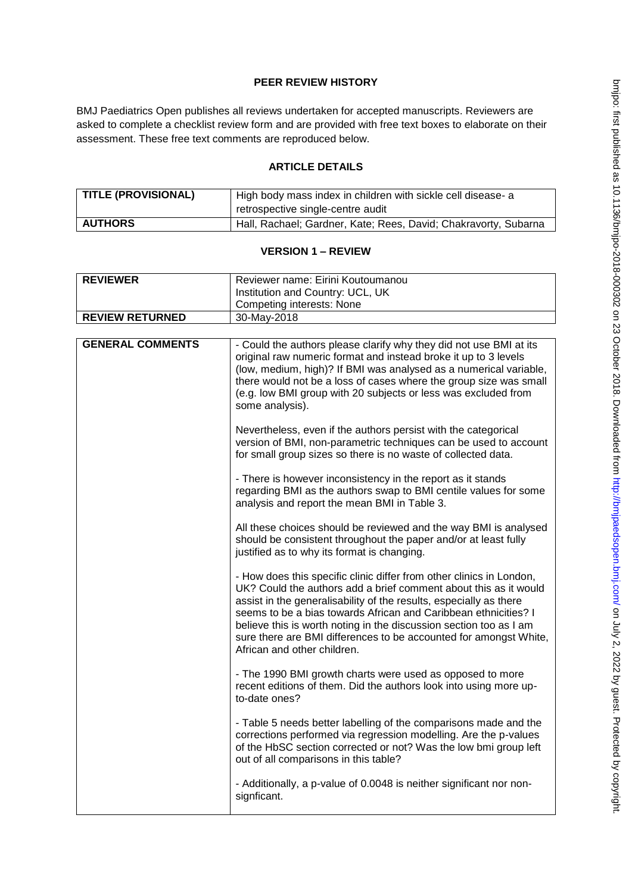## **PEER REVIEW HISTORY**

BMJ Paediatrics Open publishes all reviews undertaken for accepted manuscripts. Reviewers are asked to complete a checklist review form and are provided with free text boxes to elaborate on their assessment. These free text comments are reproduced below.

## **ARTICLE DETAILS**

| <b>TITLE (PROVISIONAL)</b> | High body mass index in children with sickle cell disease- a    |
|----------------------------|-----------------------------------------------------------------|
|                            | retrospective single-centre audit                               |
| <b>AUTHORS</b>             | Hall, Rachael; Gardner, Kate; Rees, David; Chakravorty, Subarna |

## **VERSION 1 – REVIEW**

| <b>REVIEWER</b>         | Reviewer name: Eirini Koutoumanou                                                                                                                                                                                                                                                                                                                                                                                                                           |
|-------------------------|-------------------------------------------------------------------------------------------------------------------------------------------------------------------------------------------------------------------------------------------------------------------------------------------------------------------------------------------------------------------------------------------------------------------------------------------------------------|
|                         | Institution and Country: UCL, UK                                                                                                                                                                                                                                                                                                                                                                                                                            |
|                         | Competing interests: None                                                                                                                                                                                                                                                                                                                                                                                                                                   |
| <b>REVIEW RETURNED</b>  | 30-May-2018                                                                                                                                                                                                                                                                                                                                                                                                                                                 |
|                         |                                                                                                                                                                                                                                                                                                                                                                                                                                                             |
| <b>GENERAL COMMENTS</b> | - Could the authors please clarify why they did not use BMI at its<br>original raw numeric format and instead broke it up to 3 levels<br>(low, medium, high)? If BMI was analysed as a numerical variable,<br>there would not be a loss of cases where the group size was small<br>(e.g. low BMI group with 20 subjects or less was excluded from<br>some analysis).                                                                                        |
|                         | Nevertheless, even if the authors persist with the categorical<br>version of BMI, non-parametric techniques can be used to account<br>for small group sizes so there is no waste of collected data.                                                                                                                                                                                                                                                         |
|                         | - There is however inconsistency in the report as it stands<br>regarding BMI as the authors swap to BMI centile values for some<br>analysis and report the mean BMI in Table 3.                                                                                                                                                                                                                                                                             |
|                         | All these choices should be reviewed and the way BMI is analysed<br>should be consistent throughout the paper and/or at least fully<br>justified as to why its format is changing.                                                                                                                                                                                                                                                                          |
|                         | - How does this specific clinic differ from other clinics in London,<br>UK? Could the authors add a brief comment about this as it would<br>assist in the generalisability of the results, especially as there<br>seems to be a bias towards African and Caribbean ethnicities? I<br>believe this is worth noting in the discussion section too as I am<br>sure there are BMI differences to be accounted for amongst White,<br>African and other children. |
|                         | - The 1990 BMI growth charts were used as opposed to more<br>recent editions of them. Did the authors look into using more up-<br>to-date ones?                                                                                                                                                                                                                                                                                                             |
|                         | - Table 5 needs better labelling of the comparisons made and the<br>corrections performed via regression modelling. Are the p-values<br>of the HbSC section corrected or not? Was the low bmi group left<br>out of all comparisons in this table?                                                                                                                                                                                                           |
|                         | - Additionally, a p-value of 0.0048 is neither significant nor non-<br>signficant.                                                                                                                                                                                                                                                                                                                                                                          |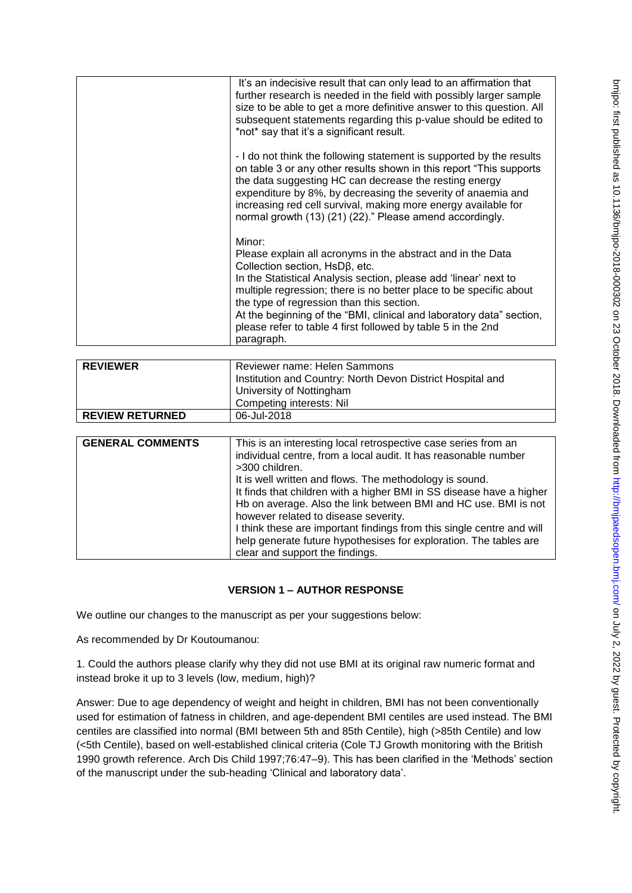| It's an indecisive result that can only lead to an affirmation that<br>further research is needed in the field with possibly larger sample<br>size to be able to get a more definitive answer to this question. All<br>subsequent statements regarding this p-value should be edited to<br>*not* say that it's a significant result.<br>- I do not think the following statement is supported by the results<br>on table 3 or any other results shown in this report "This supports"<br>the data suggesting HC can decrease the resting energy<br>expenditure by 8%, by decreasing the severity of anaemia and<br>increasing red cell survival, making more energy available for<br>normal growth (13) (21) (22)." Please amend accordingly.<br>Minor:<br>Please explain all acronyms in the abstract and in the Data<br>Collection section, $HSD\beta$ , etc.<br>In the Statistical Analysis section, please add 'linear' next to<br>multiple regression; there is no better place to be specific about<br>the type of regression than this section.<br>At the beginning of the "BMI, clinical and laboratory data" section,<br>please refer to table 4 first followed by table 5 in the 2nd<br>paragraph. |  |
|-------------------------------------------------------------------------------------------------------------------------------------------------------------------------------------------------------------------------------------------------------------------------------------------------------------------------------------------------------------------------------------------------------------------------------------------------------------------------------------------------------------------------------------------------------------------------------------------------------------------------------------------------------------------------------------------------------------------------------------------------------------------------------------------------------------------------------------------------------------------------------------------------------------------------------------------------------------------------------------------------------------------------------------------------------------------------------------------------------------------------------------------------------------------------------------------------------------|--|
|                                                                                                                                                                                                                                                                                                                                                                                                                                                                                                                                                                                                                                                                                                                                                                                                                                                                                                                                                                                                                                                                                                                                                                                                             |  |
|                                                                                                                                                                                                                                                                                                                                                                                                                                                                                                                                                                                                                                                                                                                                                                                                                                                                                                                                                                                                                                                                                                                                                                                                             |  |
|                                                                                                                                                                                                                                                                                                                                                                                                                                                                                                                                                                                                                                                                                                                                                                                                                                                                                                                                                                                                                                                                                                                                                                                                             |  |

| <b>REVIEWER</b>        | Reviewer name: Helen Sammons<br>Institution and Country: North Devon District Hospital and<br>University of Nottingham<br>Competing interests: Nil |
|------------------------|----------------------------------------------------------------------------------------------------------------------------------------------------|
| <b>REVIEW RETURNED</b> | 06-Jul-2018                                                                                                                                        |

| <b>GENERAL COMMENTS</b> | This is an interesting local retrospective case series from an<br>individual centre, from a local audit. It has reasonable number<br>>300 children.                                                                                                                                                                                                                                                                         |
|-------------------------|-----------------------------------------------------------------------------------------------------------------------------------------------------------------------------------------------------------------------------------------------------------------------------------------------------------------------------------------------------------------------------------------------------------------------------|
|                         | It is well written and flows. The methodology is sound.<br>It finds that children with a higher BMI in SS disease have a higher<br>Hb on average. Also the link between BMI and HC use. BMI is not<br>however related to disease severity.<br>I think these are important findings from this single centre and will<br>help generate future hypothesises for exploration. The tables are<br>clear and support the findings. |

## **VERSION 1 – AUTHOR RESPONSE**

We outline our changes to the manuscript as per your suggestions below:

As recommended by Dr Koutoumanou:

1. Could the authors please clarify why they did not use BMI at its original raw numeric format and instead broke it up to 3 levels (low, medium, high)?

Answer: Due to age dependency of weight and height in children, BMI has not been conventionally used for estimation of fatness in children, and age-dependent BMI centiles are used instead. The BMI centiles are classified into normal (BMI between 5th and 85th Centile), high (>85th Centile) and low (<5th Centile), based on well-established clinical criteria (Cole TJ Growth monitoring with the British 1990 growth reference. Arch Dis Child 1997;76:47–9). This has been clarified in the 'Methods' section of the manuscript under the sub-heading 'Clinical and laboratory data'.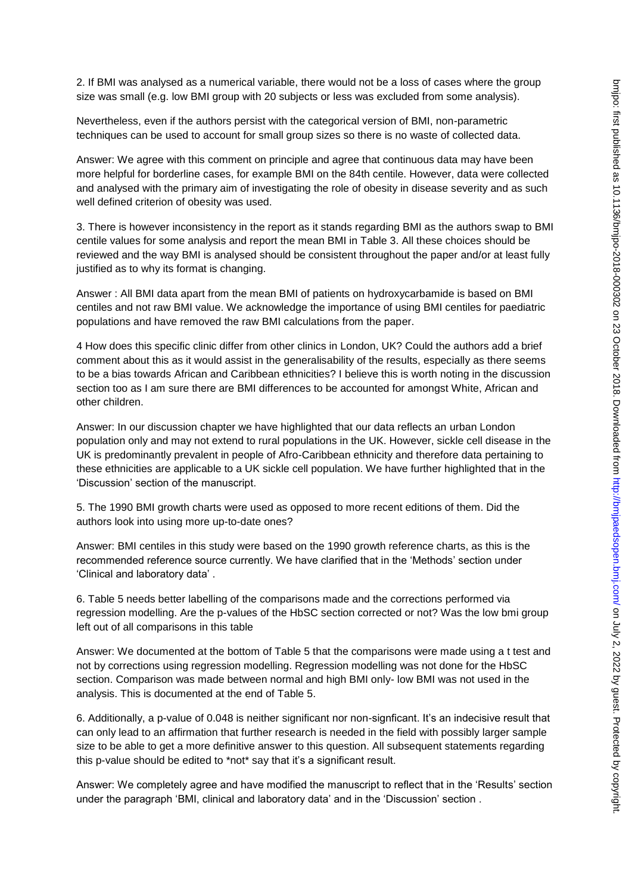2. If BMI was analysed as a numerical variable, there would not be a loss of cases where the group size was small (e.g. low BMI group with 20 subjects or less was excluded from some analysis).

Nevertheless, even if the authors persist with the categorical version of BMI, non-parametric techniques can be used to account for small group sizes so there is no waste of collected data.

Answer: We agree with this comment on principle and agree that continuous data may have been more helpful for borderline cases, for example BMI on the 84th centile. However, data were collected and analysed with the primary aim of investigating the role of obesity in disease severity and as such well defined criterion of obesity was used.

3. There is however inconsistency in the report as it stands regarding BMI as the authors swap to BMI centile values for some analysis and report the mean BMI in Table 3. All these choices should be reviewed and the way BMI is analysed should be consistent throughout the paper and/or at least fully justified as to why its format is changing.

Answer : All BMI data apart from the mean BMI of patients on hydroxycarbamide is based on BMI centiles and not raw BMI value. We acknowledge the importance of using BMI centiles for paediatric populations and have removed the raw BMI calculations from the paper.

4 How does this specific clinic differ from other clinics in London, UK? Could the authors add a brief comment about this as it would assist in the generalisability of the results, especially as there seems to be a bias towards African and Caribbean ethnicities? I believe this is worth noting in the discussion section too as I am sure there are BMI differences to be accounted for amongst White, African and other children.

Answer: In our discussion chapter we have highlighted that our data reflects an urban London population only and may not extend to rural populations in the UK. However, sickle cell disease in the UK is predominantly prevalent in people of Afro-Caribbean ethnicity and therefore data pertaining to these ethnicities are applicable to a UK sickle cell population. We have further highlighted that in the 'Discussion' section of the manuscript.

5. The 1990 BMI growth charts were used as opposed to more recent editions of them. Did the authors look into using more up-to-date ones?

Answer: BMI centiles in this study were based on the 1990 growth reference charts, as this is the recommended reference source currently. We have clarified that in the 'Methods' section under 'Clinical and laboratory data' .

6. Table 5 needs better labelling of the comparisons made and the corrections performed via regression modelling. Are the p-values of the HbSC section corrected or not? Was the low bmi group left out of all comparisons in this table

Answer: We documented at the bottom of Table 5 that the comparisons were made using a t test and not by corrections using regression modelling. Regression modelling was not done for the HbSC section. Comparison was made between normal and high BMI only- low BMI was not used in the analysis. This is documented at the end of Table 5.

6. Additionally, a p-value of 0.048 is neither significant nor non-signficant. It's an indecisive result that can only lead to an affirmation that further research is needed in the field with possibly larger sample size to be able to get a more definitive answer to this question. All subsequent statements regarding this p-value should be edited to \*not\* say that it's a significant result.

Answer: We completely agree and have modified the manuscript to reflect that in the 'Results' section under the paragraph 'BMI, clinical and laboratory data' and in the 'Discussion' section .